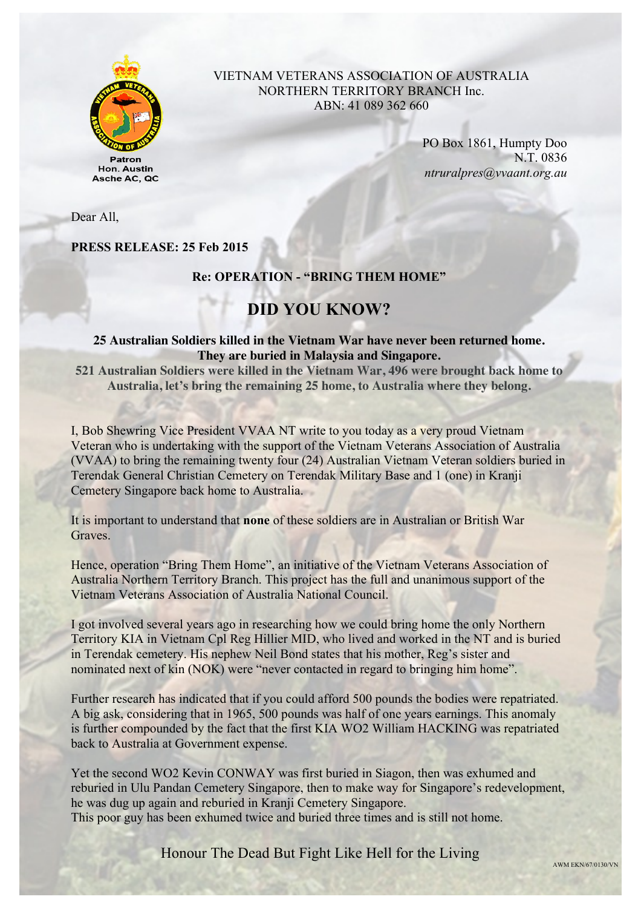

Asche AC, QC

### VIETNAM VETERANS ASSOCIATION OF AUSTRALIA NORTHERN TERRITORY BRANCH Inc. ABN: 41 089 362 660

PO Box 1861, Humpty Doo N.T. 0836 *ntruralpres@vvaant.org.au*

Dear All,

**PRESS RELEASE: 25 Feb 2015**

### **Re: OPERATION - "BRING THEM HOME"**

## **DID YOU KNOW?**

### **25 Australian Soldiers killed in the Vietnam War have never been returned home. They are buried in Malaysia and Singapore.**

**521 Australian Soldiers were killed in the Vietnam War, 496 were brought back home to Australia, let's bring the remaining 25 home, to Australia where they belong.**

I, Bob Shewring Vice President VVAA NT write to you today as a very proud Vietnam Veteran who is undertaking with the support of the Vietnam Veterans Association of Australia (VVAA) to bring the remaining twenty four (24) Australian Vietnam Veteran soldiers buried in Terendak General Christian Cemetery on Terendak Military Base and 1 (one) in Kranji Cemetery Singapore back home to Australia.

It is important to understand that **none** of these soldiers are in Australian or British War Graves.

Hence, operation "Bring Them Home", an initiative of the Vietnam Veterans Association of Australia Northern Territory Branch. This project has the full and unanimous support of the Vietnam Veterans Association of Australia National Council.

I got involved several years ago in researching how we could bring home the only Northern Territory KIA in Vietnam Cpl Reg Hillier MID, who lived and worked in the NT and is buried in Terendak cemetery. His nephew Neil Bond states that his mother, Reg's sister and nominated next of kin (NOK) were "never contacted in regard to bringing him home".

Further research has indicated that if you could afford 500 pounds the bodies were repatriated. A big ask, considering that in 1965, 500 pounds was half of one years earnings. This anomaly is further compounded by the fact that the first KIA WO2 William HACKING was repatriated back to Australia at Government expense.

Yet the second WO2 Kevin CONWAY was first buried in Siagon, then was exhumed and reburied in Ulu Pandan Cemetery Singapore, then to make way for Singapore's redevelopment, he was dug up again and reburied in Kranji Cemetery Singapore. This poor guy has been exhumed twice and buried three times and is still not home.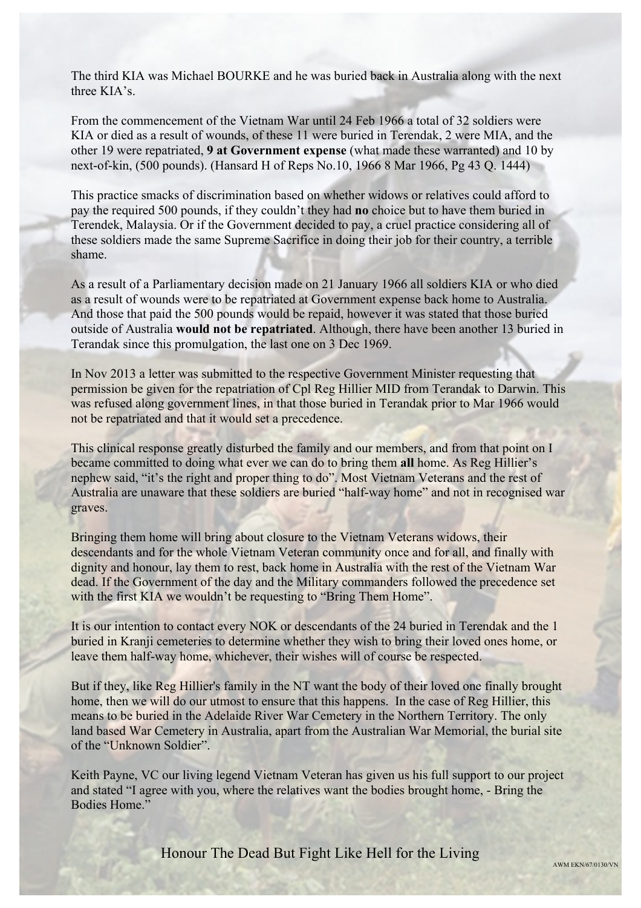The third KIA was Michael BOURKE and he was buried back in Australia along with the next three KIA's.

From the commencement of the Vietnam War until 24 Feb 1966 a total of 32 soldiers were KIA or died as a result of wounds, of these 11 were buried in Terendak, 2 were MIA, and the other 19 were repatriated, **9 at Government expense** (what made these warranted) and 10 by next-of-kin, (500 pounds). (Hansard H of Reps No.10, 1966 8 Mar 1966, Pg 43 Q. 1444)

This practice smacks of discrimination based on whether widows or relatives could afford to pay the required 500 pounds, if they couldn't they had **no** choice but to have them buried in Terendek, Malaysia. Or if the Government decided to pay, a cruel practice considering all of these soldiers made the same Supreme Sacrifice in doing their job for their country, a terrible shame.

As a result of a Parliamentary decision made on 21 January 1966 all soldiers KIA or who died as a result of wounds were to be repatriated at Government expense back home to Australia. And those that paid the 500 pounds would be repaid, however it was stated that those buried outside of Australia **would not be repatriated**. Although, there have been another 13 buried in Terandak since this promulgation, the last one on 3 Dec 1969.

In Nov 2013 a letter was submitted to the respective Government Minister requesting that permission be given for the repatriation of Cpl Reg Hillier MID from Terandak to Darwin. This was refused along government lines, in that those buried in Terandak prior to Mar 1966 would not be repatriated and that it would set a precedence.

This clinical response greatly disturbed the family and our members, and from that point on I became committed to doing what ever we can do to bring them **all** home. As Reg Hillier's nephew said, "it's the right and proper thing to do". Most Vietnam Veterans and the rest of Australia are unaware that these soldiers are buried "half-way home" and not in recognised war graves.

Bringing them home will bring about closure to the Vietnam Veterans widows, their descendants and for the whole Vietnam Veteran community once and for all, and finally with dignity and honour, lay them to rest, back home in Australia with the rest of the Vietnam War dead. If the Government of the day and the Military commanders followed the precedence set with the first KIA we wouldn't be requesting to "Bring Them Home".

It is our intention to contact every NOK or descendants of the 24 buried in Terendak and the 1 buried in Kranji cemeteries to determine whether they wish to bring their loved ones home, or leave them half-way home, whichever, their wishes will of course be respected.

But if they, like Reg Hillier's family in the NT want the body of their loved one finally brought home, then we will do our utmost to ensure that this happens. In the case of Reg Hillier, this means to be buried in the Adelaide River War Cemetery in the Northern Territory. The only land based War Cemetery in Australia, apart from the Australian War Memorial, the burial site of the "Unknown Soldier".

Keith Payne, VC our living legend Vietnam Veteran has given us his full support to our project and stated "I agree with you, where the relatives want the bodies brought home, - Bring the Bodies Home."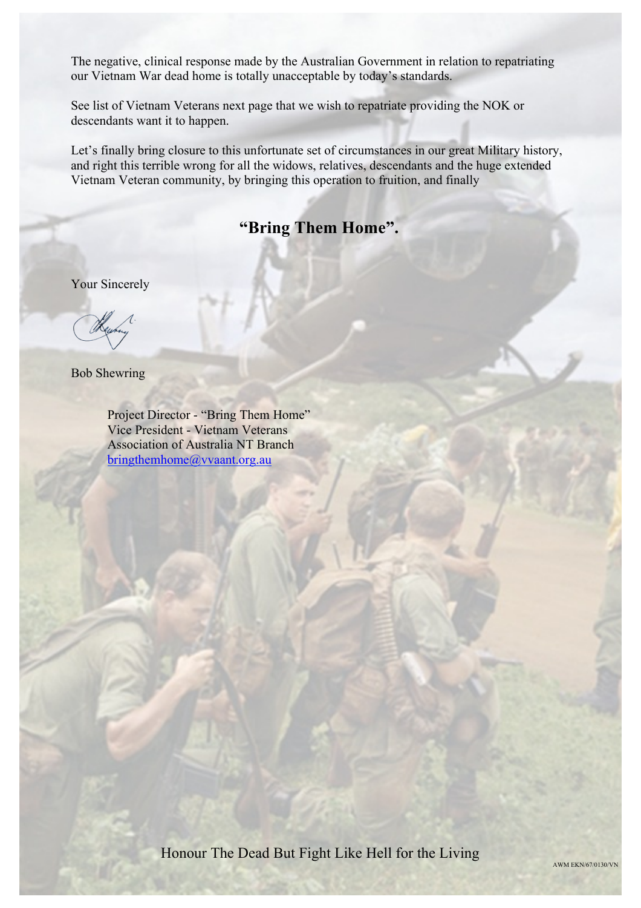The negative, clinical response made by the Australian Government in relation to repatriating our Vietnam War dead home is totally unacceptable by today's standards.

See list of Vietnam Veterans next page that we wish to repatriate providing the NOK or descendants want it to happen.

Let's finally bring closure to this unfortunate set of circumstances in our great Military history, and right this terrible wrong for all the widows, relatives, descendants and the huge extended Vietnam Veteran community, by bringing this operation to fruition, and finally

# **"Bring Them Home".**

Your Sincerely

Bob Shewring

Project Director - "Bring Them Home" Vice President - Vietnam Veterans Association of Australia NT Branch bringthemhome@vvaant.org.au